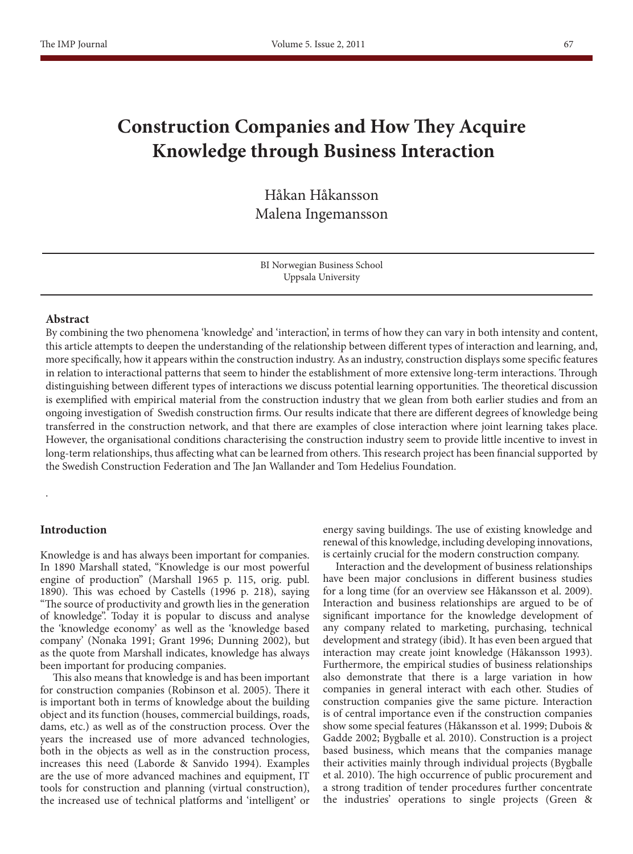# **Construction Companies and How They Acquire Knowledge through Business Interaction**

Håkan Håkansson Malena Ingemansson

BI Norwegian Business School Uppsala University

#### **Abstract**

By combining the two phenomena 'knowledge' and 'interaction', in terms of how they can vary in both intensity and content, this article attempts to deepen the understanding of the relationship between different types of interaction and learning, and, more specifically, how it appears within the construction industry. As an industry, construction displays some specific features in relation to interactional patterns that seem to hinder the establishment of more extensive long-term interactions. Through distinguishing between different types of interactions we discuss potential learning opportunities. The theoretical discussion is exemplified with empirical material from the construction industry that we glean from both earlier studies and from an ongoing investigation of Swedish construction firms. Our results indicate that there are different degrees of knowledge being transferred in the construction network, and that there are examples of close interaction where joint learning takes place. However, the organisational conditions characterising the construction industry seem to provide little incentive to invest in long-term relationships, thus affecting what can be learned from others. This research project has been financial supported by the Swedish Construction Federation and The Jan Wallander and Tom Hedelius Foundation.

#### **Introduction**

.

Knowledge is and has always been important for companies. In 1890 Marshall stated, "Knowledge is our most powerful engine of production" (Marshall 1965 p. 115, orig. publ. 1890). This was echoed by Castells (1996 p. 218), saying "The source of productivity and growth lies in the generation of knowledge". Today it is popular to discuss and analyse the 'knowledge economy' as well as the 'knowledge based company' (Nonaka 1991; Grant 1996; Dunning 2002), but as the quote from Marshall indicates, knowledge has always been important for producing companies.

This also means that knowledge is and has been important for construction companies (Robinson et al. 2005). There it is important both in terms of knowledge about the building object and its function (houses, commercial buildings, roads, dams, etc.) as well as of the construction process. Over the years the increased use of more advanced technologies, both in the objects as well as in the construction process, increases this need (Laborde & Sanvido 1994). Examples are the use of more advanced machines and equipment, IT tools for construction and planning (virtual construction), the increased use of technical platforms and 'intelligent' or

energy saving buildings. The use of existing knowledge and renewal of this knowledge, including developing innovations, is certainly crucial for the modern construction company.

Interaction and the development of business relationships have been major conclusions in different business studies for a long time (for an overview see Håkansson et al. 2009). Interaction and business relationships are argued to be of significant importance for the knowledge development of any company related to marketing, purchasing, technical development and strategy (ibid). It has even been argued that interaction may create joint knowledge (Håkansson 1993). Furthermore, the empirical studies of business relationships also demonstrate that there is a large variation in how companies in general interact with each other. Studies of construction companies give the same picture. Interaction is of central importance even if the construction companies show some special features (Håkansson et al. 1999; Dubois & Gadde 2002; Bygballe et al. 2010). Construction is a project based business, which means that the companies manage their activities mainly through individual projects (Bygballe et al. 2010). The high occurrence of public procurement and a strong tradition of tender procedures further concentrate the industries' operations to single projects (Green &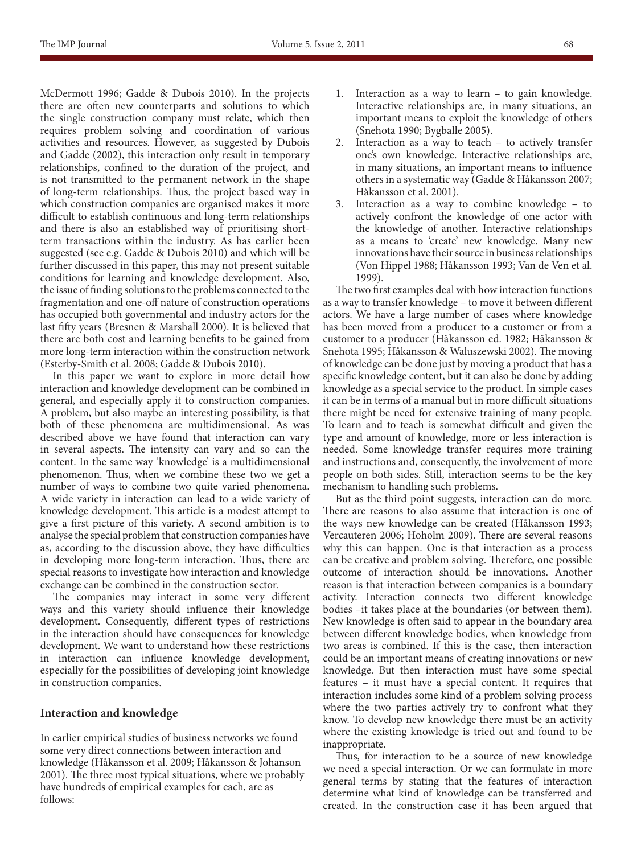McDermott 1996; Gadde & Dubois 2010). In the projects there are often new counterparts and solutions to which the single construction company must relate, which then requires problem solving and coordination of various activities and resources. However, as suggested by Dubois and Gadde (2002), this interaction only result in temporary relationships, confined to the duration of the project, and is not transmitted to the permanent network in the shape of long-term relationships. Thus, the project based way in which construction companies are organised makes it more difficult to establish continuous and long-term relationships and there is also an established way of prioritising shortterm transactions within the industry. As has earlier been suggested (see e.g. Gadde & Dubois 2010) and which will be further discussed in this paper, this may not present suitable conditions for learning and knowledge development. Also, the issue of finding solutions to the problems connected to the fragmentation and one-off nature of construction operations has occupied both governmental and industry actors for the last fifty years (Bresnen & Marshall 2000). It is believed that there are both cost and learning benefits to be gained from more long-term interaction within the construction network (Esterby-Smith et al. 2008; Gadde & Dubois 2010).

In this paper we want to explore in more detail how interaction and knowledge development can be combined in general, and especially apply it to construction companies. A problem, but also maybe an interesting possibility, is that both of these phenomena are multidimensional. As was described above we have found that interaction can vary in several aspects. The intensity can vary and so can the content. In the same way 'knowledge' is a multidimensional phenomenon. Thus, when we combine these two we get a number of ways to combine two quite varied phenomena. A wide variety in interaction can lead to a wide variety of knowledge development. This article is a modest attempt to give a first picture of this variety. A second ambition is to analyse the special problem that construction companies have as, according to the discussion above, they have difficulties in developing more long-term interaction. Thus, there are special reasons to investigate how interaction and knowledge exchange can be combined in the construction sector.

The companies may interact in some very different ways and this variety should influence their knowledge development. Consequently, different types of restrictions in the interaction should have consequences for knowledge development. We want to understand how these restrictions in interaction can influence knowledge development, especially for the possibilities of developing joint knowledge in construction companies.

#### **Interaction and knowledge**

In earlier empirical studies of business networks we found some very direct connections between interaction and knowledge (Håkansson et al. 2009; Håkansson & Johanson 2001). The three most typical situations, where we probably have hundreds of empirical examples for each, are as follows:

- Interaction as a way to learn  $-$  to gain knowledge. Interactive relationships are, in many situations, an important means to exploit the knowledge of others (Snehota 1990; Bygballe 2005).
- 2. Interaction as a way to teach to actively transfer one's own knowledge. Interactive relationships are, in many situations, an important means to influence others in a systematic way (Gadde & Håkansson 2007; Håkansson et al. 2001).
- 3. Interaction as a way to combine knowledge to actively confront the knowledge of one actor with the knowledge of another. Interactive relationships as a means to 'create' new knowledge. Many new innovations have their source in business relationships (Von Hippel 1988; Håkansson 1993; Van de Ven et al. 1999).

The two first examples deal with how interaction functions as a way to transfer knowledge – to move it between different actors. We have a large number of cases where knowledge has been moved from a producer to a customer or from a customer to a producer (Håkansson ed. 1982; Håkansson & Snehota 1995; Håkansson & Waluszewski 2002). The moving of knowledge can be done just by moving a product that has a specific knowledge content, but it can also be done by adding knowledge as a special service to the product. In simple cases it can be in terms of a manual but in more difficult situations there might be need for extensive training of many people. To learn and to teach is somewhat difficult and given the type and amount of knowledge, more or less interaction is needed. Some knowledge transfer requires more training and instructions and, consequently, the involvement of more people on both sides. Still, interaction seems to be the key mechanism to handling such problems.

But as the third point suggests, interaction can do more. There are reasons to also assume that interaction is one of the ways new knowledge can be created (Håkansson 1993; Vercauteren 2006; Hoholm 2009). There are several reasons why this can happen. One is that interaction as a process can be creative and problem solving. Therefore, one possible outcome of interaction should be innovations. Another reason is that interaction between companies is a boundary activity. Interaction connects two different knowledge bodies –it takes place at the boundaries (or between them). New knowledge is often said to appear in the boundary area between different knowledge bodies, when knowledge from two areas is combined. If this is the case, then interaction could be an important means of creating innovations or new knowledge. But then interaction must have some special features – it must have a special content. It requires that interaction includes some kind of a problem solving process where the two parties actively try to confront what they know. To develop new knowledge there must be an activity where the existing knowledge is tried out and found to be inappropriate.

Thus, for interaction to be a source of new knowledge we need a special interaction. Or we can formulate in more general terms by stating that the features of interaction determine what kind of knowledge can be transferred and created. In the construction case it has been argued that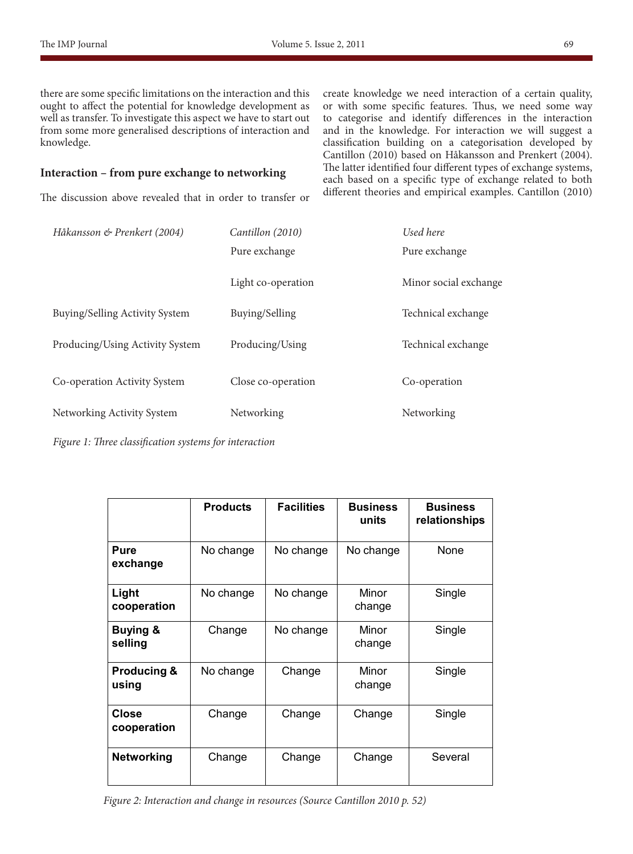knowledge.

### **Interaction – from pure exchange to networking**

The discussion above revealed that in order to transfer or

create knowledge we need interaction of a certain quality, or with some specific features. Thus, we need some way to categorise and identify differences in the interaction and in the knowledge. For interaction we will suggest a classification building on a categorisation developed by Cantillon (2010) based on Håkansson and Prenkert (2004). The latter identified four different types of exchange systems, each based on a specific type of exchange related to both different theories and empirical examples. Cantillon (2010)

| Håkansson & Prenkert (2004)     | Cantillon (2010)   | Used here             |
|---------------------------------|--------------------|-----------------------|
|                                 | Pure exchange      | Pure exchange         |
|                                 | Light co-operation | Minor social exchange |
| Buying/Selling Activity System  | Buying/Selling     | Technical exchange    |
| Producing/Using Activity System | Producing/Using    | Technical exchange    |
| Co-operation Activity System    | Close co-operation | Co-operation          |
| Networking Activity System      | Networking         | Networking            |

*Figure 1: Three classification systems for interaction*

|                                 | <b>Products</b> | <b>Facilities</b> | <b>Business</b><br>units | <b>Business</b><br>relationships |
|---------------------------------|-----------------|-------------------|--------------------------|----------------------------------|
| Pure<br>exchange                | No change       | No change         | No change                | None                             |
| Light<br>cooperation            | No change       | No change         | Minor<br>change          | Single                           |
| <b>Buying &amp;</b><br>selling  | Change          | No change         | Minor<br>change          | Single                           |
| <b>Producing &amp;</b><br>using | No change       | Change            | Minor<br>change          | Single                           |
| Close<br>cooperation            | Change          | Change            | Change                   | Single                           |
| <b>Networking</b>               | Change          | Change            | Change                   | Several                          |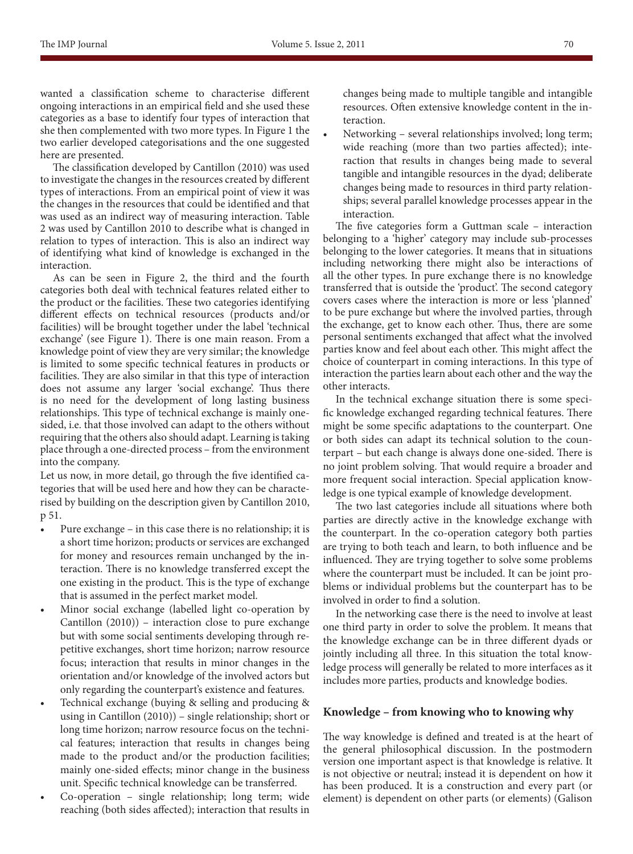wanted a classification scheme to characterise different ongoing interactions in an empirical field and she used these categories as a base to identify four types of interaction that she then complemented with two more types. In Figure 1 the two earlier developed categorisations and the one suggested here are presented.

The classification developed by Cantillon (2010) was used to investigate the changes in the resources created by different types of interactions. From an empirical point of view it was the changes in the resources that could be identified and that was used as an indirect way of measuring interaction. Table 2 was used by Cantillon 2010 to describe what is changed in relation to types of interaction. This is also an indirect way of identifying what kind of knowledge is exchanged in the interaction.

As can be seen in Figure 2, the third and the fourth categories both deal with technical features related either to the product or the facilities. These two categories identifying different effects on technical resources (products and/or facilities) will be brought together under the label 'technical exchange' (see Figure 1). There is one main reason. From a knowledge point of view they are very similar; the knowledge is limited to some specific technical features in products or facilities. They are also similar in that this type of interaction does not assume any larger 'social exchange'. Thus there is no need for the development of long lasting business relationships. This type of technical exchange is mainly onesided, i.e. that those involved can adapt to the others without requiring that the others also should adapt. Learning is taking place through a one-directed process – from the environment into the company.

Let us now, in more detail, go through the five identified categories that will be used here and how they can be characterised by building on the description given by Cantillon 2010, p 51.

- Pure exchange in this case there is no relationship; it is a short time horizon; products or services are exchanged for money and resources remain unchanged by the interaction. There is no knowledge transferred except the one existing in the product. This is the type of exchange that is assumed in the perfect market model.
- Minor social exchange (labelled light co-operation by Cantillon (2010)) – interaction close to pure exchange but with some social sentiments developing through repetitive exchanges, short time horizon; narrow resource focus; interaction that results in minor changes in the orientation and/or knowledge of the involved actors but only regarding the counterpart's existence and features.
- Technical exchange (buying  $\&$  selling and producing  $\&$ using in Cantillon (2010)) – single relationship; short or long time horizon; narrow resource focus on the technical features; interaction that results in changes being made to the product and/or the production facilities; mainly one-sided effects; minor change in the business unit. Specific technical knowledge can be transferred.
- Co-operation single relationship; long term; wide reaching (both sides affected); interaction that results in

changes being made to multiple tangible and intangible resources. Often extensive knowledge content in the interaction.

Networking – several relationships involved; long term; wide reaching (more than two parties affected); interaction that results in changes being made to several tangible and intangible resources in the dyad; deliberate changes being made to resources in third party relationships; several parallel knowledge processes appear in the interaction.

The five categories form a Guttman scale – interaction belonging to a 'higher' category may include sub-processes belonging to the lower categories. It means that in situations including networking there might also be interactions of all the other types. In pure exchange there is no knowledge transferred that is outside the 'product'. The second category covers cases where the interaction is more or less 'planned' to be pure exchange but where the involved parties, through the exchange, get to know each other. Thus, there are some personal sentiments exchanged that affect what the involved parties know and feel about each other. This might affect the choice of counterpart in coming interactions. In this type of interaction the parties learn about each other and the way the other interacts.

In the technical exchange situation there is some specific knowledge exchanged regarding technical features. There might be some specific adaptations to the counterpart. One or both sides can adapt its technical solution to the counterpart – but each change is always done one-sided. There is no joint problem solving. That would require a broader and more frequent social interaction. Special application knowledge is one typical example of knowledge development.

The two last categories include all situations where both parties are directly active in the knowledge exchange with the counterpart. In the co-operation category both parties are trying to both teach and learn, to both influence and be influenced. They are trying together to solve some problems where the counterpart must be included. It can be joint problems or individual problems but the counterpart has to be involved in order to find a solution.

In the networking case there is the need to involve at least one third party in order to solve the problem. It means that the knowledge exchange can be in three different dyads or jointly including all three. In this situation the total knowledge process will generally be related to more interfaces as it includes more parties, products and knowledge bodies.

#### **Knowledge – from knowing who to knowing why**

The way knowledge is defined and treated is at the heart of the general philosophical discussion. In the postmodern version one important aspect is that knowledge is relative. It is not objective or neutral; instead it is dependent on how it has been produced. It is a construction and every part (or element) is dependent on other parts (or elements) (Galison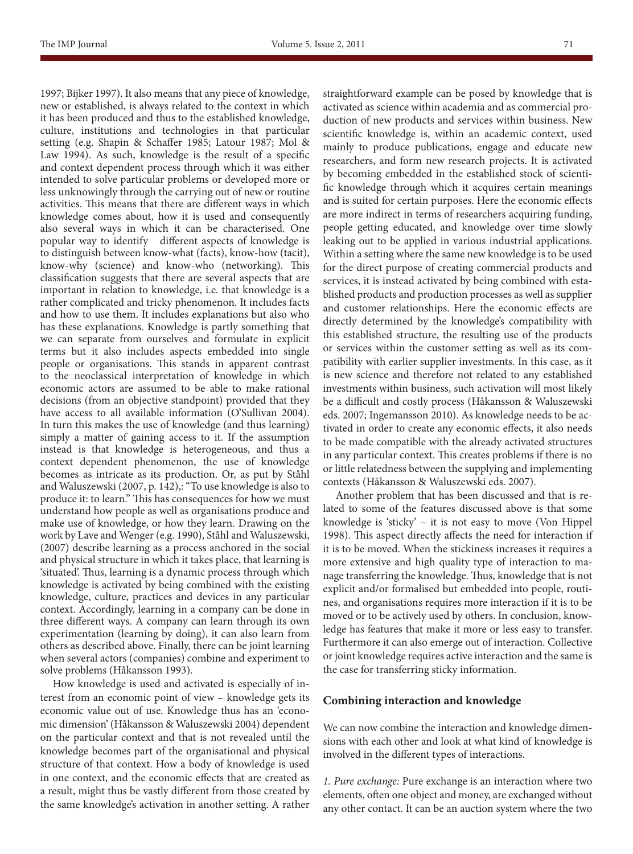1997; Bijker 1997). It also means that any piece of knowledge, new or established, is always related to the context in which it has been produced and thus to the established knowledge, culture, institutions and technologies in that particular setting (e.g. Shapin & Schaffer 1985; Latour 1987; Mol & Law 1994). As such, knowledge is the result of a specific and context dependent process through which it was either intended to solve particular problems or developed more or less unknowingly through the carrying out of new or routine activities. This means that there are different ways in which knowledge comes about, how it is used and consequently also several ways in which it can be characterised. One popular way to identify different aspects of knowledge is to distinguish between know-what (facts), know-how (tacit), know-why (science) and know-who (networking). This classification suggests that there are several aspects that are important in relation to knowledge, i.e. that knowledge is a rather complicated and tricky phenomenon. It includes facts and how to use them. It includes explanations but also who has these explanations. Knowledge is partly something that we can separate from ourselves and formulate in explicit terms but it also includes aspects embedded into single people or organisations. This stands in apparent contrast to the neoclassical interpretation of knowledge in which economic actors are assumed to be able to make rational decisions (from an objective standpoint) provided that they have access to all available information (O'Sullivan 2004). In turn this makes the use of knowledge (and thus learning) simply a matter of gaining access to it. If the assumption instead is that knowledge is heterogeneous, and thus a context dependent phenomenon, the use of knowledge becomes as intricate as its production. Or, as put by Ståhl and Waluszewski (2007, p. 142),: "To use knowledge is also to produce it: to learn." This has consequences for how we must understand how people as well as organisations produce and make use of knowledge, or how they learn. Drawing on the work by Lave and Wenger (e.g. 1990), Ståhl and Waluszewski, (2007) describe learning as a process anchored in the social and physical structure in which it takes place, that learning is 'situated'. Thus, learning is a dynamic process through which knowledge is activated by being combined with the existing knowledge, culture, practices and devices in any particular context. Accordingly, learning in a company can be done in three different ways. A company can learn through its own experimentation (learning by doing), it can also learn from others as described above. Finally, there can be joint learning when several actors (companies) combine and experiment to solve problems (Håkansson 1993).

How knowledge is used and activated is especially of interest from an economic point of view – knowledge gets its economic value out of use. Knowledge thus has an 'economic dimension' (Håkansson & Waluszewski 2004) dependent on the particular context and that is not revealed until the knowledge becomes part of the organisational and physical structure of that context. How a body of knowledge is used in one context, and the economic effects that are created as a result, might thus be vastly different from those created by the same knowledge's activation in another setting. A rather straightforward example can be posed by knowledge that is activated as science within academia and as commercial production of new products and services within business. New scientific knowledge is, within an academic context, used mainly to produce publications, engage and educate new researchers, and form new research projects. It is activated by becoming embedded in the established stock of scientific knowledge through which it acquires certain meanings and is suited for certain purposes. Here the economic effects are more indirect in terms of researchers acquiring funding, people getting educated, and knowledge over time slowly leaking out to be applied in various industrial applications. Within a setting where the same new knowledge is to be used for the direct purpose of creating commercial products and services, it is instead activated by being combined with established products and production processes as well as supplier and customer relationships. Here the economic effects are directly determined by the knowledge's compatibility with this established structure, the resulting use of the products or services within the customer setting as well as its compatibility with earlier supplier investments. In this case, as it is new science and therefore not related to any established investments within business, such activation will most likely be a difficult and costly process (Håkansson & Waluszewski eds. 2007; Ingemansson 2010). As knowledge needs to be activated in order to create any economic effects, it also needs to be made compatible with the already activated structures in any particular context. This creates problems if there is no or little relatedness between the supplying and implementing contexts (Håkansson & Waluszewski eds. 2007).

Another problem that has been discussed and that is related to some of the features discussed above is that some knowledge is 'sticky' – it is not easy to move (Von Hippel 1998). This aspect directly affects the need for interaction if it is to be moved. When the stickiness increases it requires a more extensive and high quality type of interaction to manage transferring the knowledge. Thus, knowledge that is not explicit and/or formalised but embedded into people, routines, and organisations requires more interaction if it is to be moved or to be actively used by others. In conclusion, knowledge has features that make it more or less easy to transfer. Furthermore it can also emerge out of interaction. Collective or joint knowledge requires active interaction and the same is the case for transferring sticky information.

#### **Combining interaction and knowledge**

We can now combine the interaction and knowledge dimensions with each other and look at what kind of knowledge is involved in the different types of interactions.

*1. Pure exchange:* Pure exchange is an interaction where two elements, often one object and money, are exchanged without any other contact. It can be an auction system where the two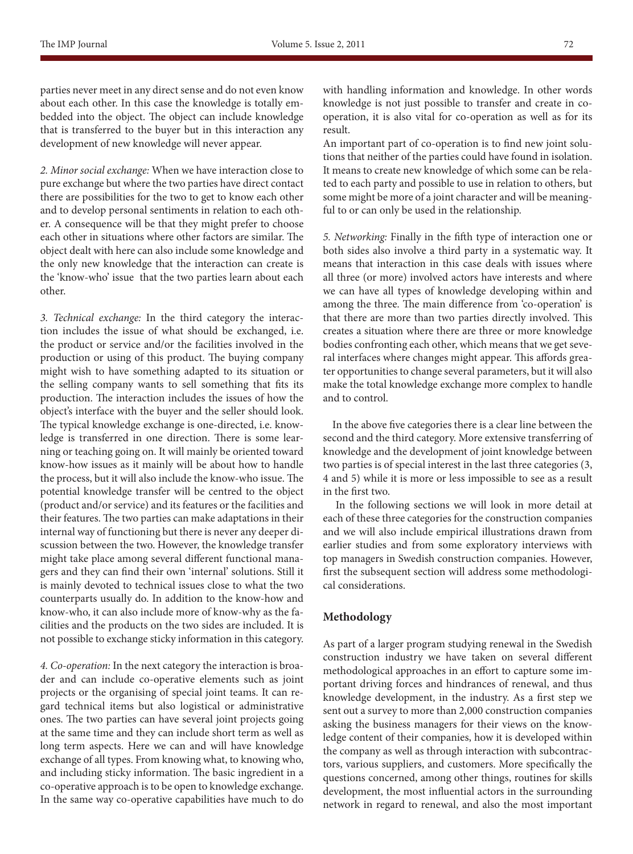*2. Minor social exchange:* When we have interaction close to pure exchange but where the two parties have direct contact there are possibilities for the two to get to know each other and to develop personal sentiments in relation to each other. A consequence will be that they might prefer to choose each other in situations where other factors are similar. The object dealt with here can also include some knowledge and the only new knowledge that the interaction can create is the 'know-who' issue that the two parties learn about each other.

*3. Technical exchange:* In the third category the interaction includes the issue of what should be exchanged, i.e. the product or service and/or the facilities involved in the production or using of this product. The buying company might wish to have something adapted to its situation or the selling company wants to sell something that fits its production. The interaction includes the issues of how the object's interface with the buyer and the seller should look. The typical knowledge exchange is one-directed, i.e. knowledge is transferred in one direction. There is some learning or teaching going on. It will mainly be oriented toward know-how issues as it mainly will be about how to handle the process, but it will also include the know-who issue. The potential knowledge transfer will be centred to the object (product and/or service) and its features or the facilities and their features. The two parties can make adaptations in their internal way of functioning but there is never any deeper discussion between the two. However, the knowledge transfer might take place among several different functional managers and they can find their own 'internal' solutions. Still it is mainly devoted to technical issues close to what the two counterparts usually do. In addition to the know-how and know-who, it can also include more of know-why as the facilities and the products on the two sides are included. It is not possible to exchange sticky information in this category.

*4. Co-operation:* In the next category the interaction is broader and can include co-operative elements such as joint projects or the organising of special joint teams. It can regard technical items but also logistical or administrative ones. The two parties can have several joint projects going at the same time and they can include short term as well as long term aspects. Here we can and will have knowledge exchange of all types. From knowing what, to knowing who, and including sticky information. The basic ingredient in a co-operative approach is to be open to knowledge exchange. In the same way co-operative capabilities have much to do with handling information and knowledge. In other words knowledge is not just possible to transfer and create in cooperation, it is also vital for co-operation as well as for its result.

An important part of co-operation is to find new joint solutions that neither of the parties could have found in isolation. It means to create new knowledge of which some can be related to each party and possible to use in relation to others, but some might be more of a joint character and will be meaningful to or can only be used in the relationship.

*5. Networking:* Finally in the fifth type of interaction one or both sides also involve a third party in a systematic way. It means that interaction in this case deals with issues where all three (or more) involved actors have interests and where we can have all types of knowledge developing within and among the three. The main difference from 'co-operation' is that there are more than two parties directly involved. This creates a situation where there are three or more knowledge bodies confronting each other, which means that we get several interfaces where changes might appear. This affords greater opportunities to change several parameters, but it will also make the total knowledge exchange more complex to handle and to control.

In the above five categories there is a clear line between the second and the third category. More extensive transferring of knowledge and the development of joint knowledge between two parties is of special interest in the last three categories (3, 4 and 5) while it is more or less impossible to see as a result in the first two.

In the following sections we will look in more detail at each of these three categories for the construction companies and we will also include empirical illustrations drawn from earlier studies and from some exploratory interviews with top managers in Swedish construction companies. However, first the subsequent section will address some methodological considerations.

#### **Methodology**

As part of a larger program studying renewal in the Swedish construction industry we have taken on several different methodological approaches in an effort to capture some important driving forces and hindrances of renewal, and thus knowledge development, in the industry. As a first step we sent out a survey to more than 2,000 construction companies asking the business managers for their views on the knowledge content of their companies, how it is developed within the company as well as through interaction with subcontractors, various suppliers, and customers. More specifically the questions concerned, among other things, routines for skills development, the most influential actors in the surrounding network in regard to renewal, and also the most important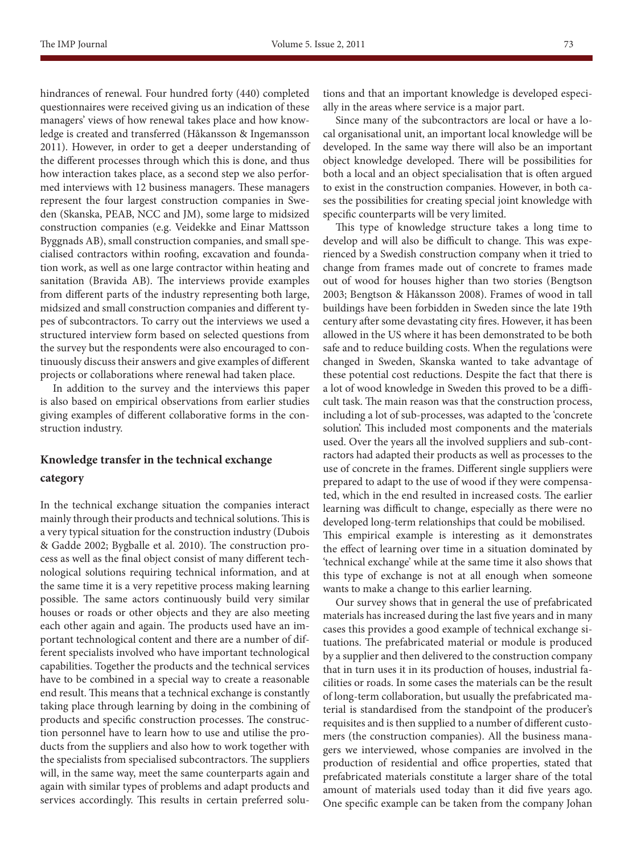hindrances of renewal. Four hundred forty (440) completed questionnaires were received giving us an indication of these managers' views of how renewal takes place and how knowledge is created and transferred (Håkansson & Ingemansson 2011). However, in order to get a deeper understanding of the different processes through which this is done, and thus how interaction takes place, as a second step we also performed interviews with 12 business managers. These managers represent the four largest construction companies in Sweden (Skanska, PEAB, NCC and JM), some large to midsized construction companies (e.g. Veidekke and Einar Mattsson Byggnads AB), small construction companies, and small specialised contractors within roofing, excavation and foundation work, as well as one large contractor within heating and sanitation (Bravida AB). The interviews provide examples from different parts of the industry representing both large, midsized and small construction companies and different types of subcontractors. To carry out the interviews we used a structured interview form based on selected questions from the survey but the respondents were also encouraged to continuously discuss their answers and give examples of different projects or collaborations where renewal had taken place.

In addition to the survey and the interviews this paper is also based on empirical observations from earlier studies giving examples of different collaborative forms in the construction industry.

## **Knowledge transfer in the technical exchange category**

In the technical exchange situation the companies interact mainly through their products and technical solutions. This is a very typical situation for the construction industry (Dubois & Gadde 2002; Bygballe et al. 2010). The construction process as well as the final object consist of many different technological solutions requiring technical information, and at the same time it is a very repetitive process making learning possible. The same actors continuously build very similar houses or roads or other objects and they are also meeting each other again and again. The products used have an important technological content and there are a number of different specialists involved who have important technological capabilities. Together the products and the technical services have to be combined in a special way to create a reasonable end result. This means that a technical exchange is constantly taking place through learning by doing in the combining of products and specific construction processes. The construction personnel have to learn how to use and utilise the products from the suppliers and also how to work together with the specialists from specialised subcontractors. The suppliers will, in the same way, meet the same counterparts again and again with similar types of problems and adapt products and services accordingly. This results in certain preferred solutions and that an important knowledge is developed especially in the areas where service is a major part.

Since many of the subcontractors are local or have a local organisational unit, an important local knowledge will be developed. In the same way there will also be an important object knowledge developed. There will be possibilities for both a local and an object specialisation that is often argued to exist in the construction companies. However, in both cases the possibilities for creating special joint knowledge with specific counterparts will be very limited.

This type of knowledge structure takes a long time to develop and will also be difficult to change. This was experienced by a Swedish construction company when it tried to change from frames made out of concrete to frames made out of wood for houses higher than two stories (Bengtson 2003; Bengtson & Håkansson 2008). Frames of wood in tall buildings have been forbidden in Sweden since the late 19th century after some devastating city fires. However, it has been allowed in the US where it has been demonstrated to be both safe and to reduce building costs. When the regulations were changed in Sweden, Skanska wanted to take advantage of these potential cost reductions. Despite the fact that there is a lot of wood knowledge in Sweden this proved to be a difficult task. The main reason was that the construction process, including a lot of sub-processes, was adapted to the 'concrete solution'. This included most components and the materials used. Over the years all the involved suppliers and sub-contractors had adapted their products as well as processes to the use of concrete in the frames. Different single suppliers were prepared to adapt to the use of wood if they were compensated, which in the end resulted in increased costs. The earlier learning was difficult to change, especially as there were no developed long-term relationships that could be mobilised. This empirical example is interesting as it demonstrates the effect of learning over time in a situation dominated by 'technical exchange' while at the same time it also shows that this type of exchange is not at all enough when someone wants to make a change to this earlier learning.

Our survey shows that in general the use of prefabricated materials has increased during the last five years and in many cases this provides a good example of technical exchange situations. The prefabricated material or module is produced by a supplier and then delivered to the construction company that in turn uses it in its production of houses, industrial facilities or roads. In some cases the materials can be the result of long-term collaboration, but usually the prefabricated material is standardised from the standpoint of the producer's requisites and is then supplied to a number of different customers (the construction companies). All the business managers we interviewed, whose companies are involved in the production of residential and office properties, stated that prefabricated materials constitute a larger share of the total amount of materials used today than it did five years ago. One specific example can be taken from the company Johan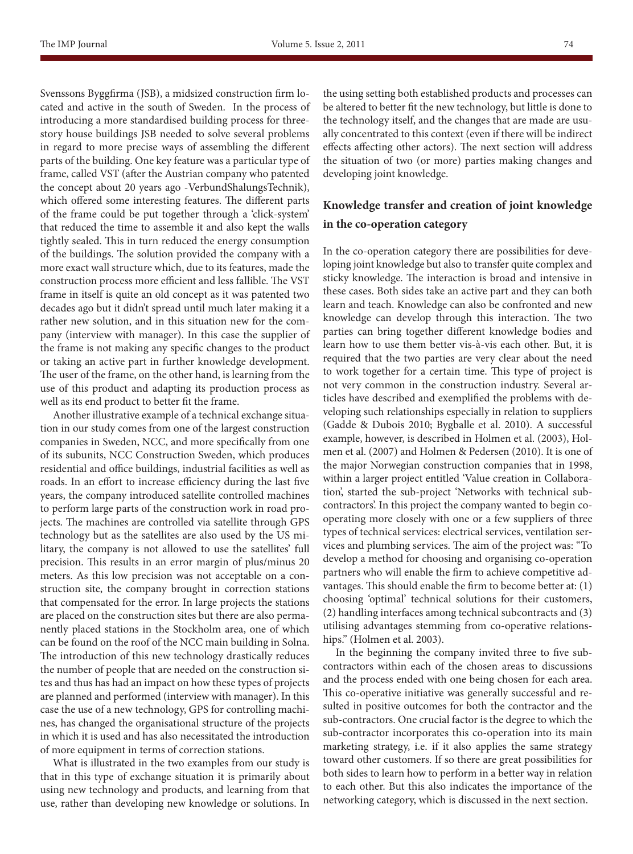Svenssons Byggfirma (JSB), a midsized construction firm located and active in the south of Sweden. In the process of introducing a more standardised building process for threestory house buildings JSB needed to solve several problems in regard to more precise ways of assembling the different parts of the building. One key feature was a particular type of frame, called VST (after the Austrian company who patented the concept about 20 years ago -VerbundShalungsTechnik), which offered some interesting features. The different parts of the frame could be put together through a 'click-system' that reduced the time to assemble it and also kept the walls tightly sealed. This in turn reduced the energy consumption of the buildings. The solution provided the company with a more exact wall structure which, due to its features, made the construction process more efficient and less fallible. The VST frame in itself is quite an old concept as it was patented two decades ago but it didn't spread until much later making it a rather new solution, and in this situation new for the company (interview with manager). In this case the supplier of the frame is not making any specific changes to the product or taking an active part in further knowledge development. The user of the frame, on the other hand, is learning from the use of this product and adapting its production process as well as its end product to better fit the frame.

Another illustrative example of a technical exchange situation in our study comes from one of the largest construction companies in Sweden, NCC, and more specifically from one of its subunits, NCC Construction Sweden, which produces residential and office buildings, industrial facilities as well as roads. In an effort to increase efficiency during the last five years, the company introduced satellite controlled machines to perform large parts of the construction work in road projects. The machines are controlled via satellite through GPS technology but as the satellites are also used by the US military, the company is not allowed to use the satellites' full precision. This results in an error margin of plus/minus 20 meters. As this low precision was not acceptable on a construction site, the company brought in correction stations that compensated for the error. In large projects the stations are placed on the construction sites but there are also permanently placed stations in the Stockholm area, one of which can be found on the roof of the NCC main building in Solna. The introduction of this new technology drastically reduces the number of people that are needed on the construction sites and thus has had an impact on how these types of projects are planned and performed (interview with manager). In this case the use of a new technology, GPS for controlling machines, has changed the organisational structure of the projects in which it is used and has also necessitated the introduction of more equipment in terms of correction stations.

What is illustrated in the two examples from our study is that in this type of exchange situation it is primarily about using new technology and products, and learning from that use, rather than developing new knowledge or solutions. In the using setting both established products and processes can be altered to better fit the new technology, but little is done to the technology itself, and the changes that are made are usually concentrated to this context (even if there will be indirect effects affecting other actors). The next section will address the situation of two (or more) parties making changes and developing joint knowledge.

## **Knowledge transfer and creation of joint knowledge in the co-operation category**

In the co-operation category there are possibilities for developing joint knowledge but also to transfer quite complex and sticky knowledge. The interaction is broad and intensive in these cases. Both sides take an active part and they can both learn and teach. Knowledge can also be confronted and new knowledge can develop through this interaction. The two parties can bring together different knowledge bodies and learn how to use them better vis-à-vis each other. But, it is required that the two parties are very clear about the need to work together for a certain time. This type of project is not very common in the construction industry. Several articles have described and exemplified the problems with developing such relationships especially in relation to suppliers (Gadde & Dubois 2010; Bygballe et al. 2010). A successful example, however, is described in Holmen et al. (2003), Holmen et al. (2007) and Holmen & Pedersen (2010). It is one of the major Norwegian construction companies that in 1998, within a larger project entitled 'Value creation in Collaboration', started the sub-project 'Networks with technical subcontractors'. In this project the company wanted to begin cooperating more closely with one or a few suppliers of three types of technical services: electrical services, ventilation services and plumbing services. The aim of the project was: "To develop a method for choosing and organising co-operation partners who will enable the firm to achieve competitive advantages. This should enable the firm to become better at: (1) choosing 'optimal' technical solutions for their customers, (2) handling interfaces among technical subcontracts and (3) utilising advantages stemming from co-operative relationships." (Holmen et al. 2003).

In the beginning the company invited three to five subcontractors within each of the chosen areas to discussions and the process ended with one being chosen for each area. This co-operative initiative was generally successful and resulted in positive outcomes for both the contractor and the sub-contractors. One crucial factor is the degree to which the sub-contractor incorporates this co-operation into its main marketing strategy, i.e. if it also applies the same strategy toward other customers. If so there are great possibilities for both sides to learn how to perform in a better way in relation to each other. But this also indicates the importance of the networking category, which is discussed in the next section.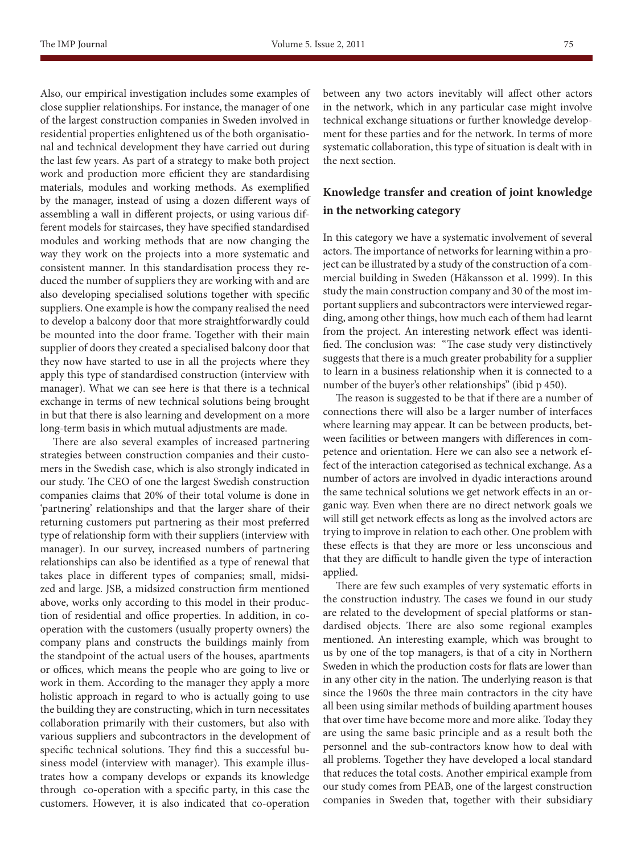Also, our empirical investigation includes some examples of close supplier relationships. For instance, the manager of one of the largest construction companies in Sweden involved in residential properties enlightened us of the both organisational and technical development they have carried out during the last few years. As part of a strategy to make both project work and production more efficient they are standardising materials, modules and working methods. As exemplified by the manager, instead of using a dozen different ways of assembling a wall in different projects, or using various different models for staircases, they have specified standardised modules and working methods that are now changing the way they work on the projects into a more systematic and consistent manner. In this standardisation process they reduced the number of suppliers they are working with and are also developing specialised solutions together with specific suppliers. One example is how the company realised the need to develop a balcony door that more straightforwardly could be mounted into the door frame. Together with their main supplier of doors they created a specialised balcony door that they now have started to use in all the projects where they apply this type of standardised construction (interview with manager). What we can see here is that there is a technical exchange in terms of new technical solutions being brought in but that there is also learning and development on a more long-term basis in which mutual adjustments are made.

There are also several examples of increased partnering strategies between construction companies and their customers in the Swedish case, which is also strongly indicated in our study. The CEO of one the largest Swedish construction companies claims that 20% of their total volume is done in 'partnering' relationships and that the larger share of their returning customers put partnering as their most preferred type of relationship form with their suppliers (interview with manager). In our survey, increased numbers of partnering relationships can also be identified as a type of renewal that takes place in different types of companies; small, midsized and large. JSB, a midsized construction firm mentioned above, works only according to this model in their production of residential and office properties. In addition, in cooperation with the customers (usually property owners) the company plans and constructs the buildings mainly from the standpoint of the actual users of the houses, apartments or offices, which means the people who are going to live or work in them. According to the manager they apply a more holistic approach in regard to who is actually going to use the building they are constructing, which in turn necessitates collaboration primarily with their customers, but also with various suppliers and subcontractors in the development of specific technical solutions. They find this a successful business model (interview with manager). This example illustrates how a company develops or expands its knowledge through co-operation with a specific party, in this case the customers. However, it is also indicated that co-operation between any two actors inevitably will affect other actors in the network, which in any particular case might involve technical exchange situations or further knowledge development for these parties and for the network. In terms of more systematic collaboration, this type of situation is dealt with in the next section.

## **Knowledge transfer and creation of joint knowledge in the networking category**

In this category we have a systematic involvement of several actors. The importance of networks for learning within a project can be illustrated by a study of the construction of a commercial building in Sweden (Håkansson et al. 1999). In this study the main construction company and 30 of the most important suppliers and subcontractors were interviewed regarding, among other things, how much each of them had learnt from the project. An interesting network effect was identified. The conclusion was: "The case study very distinctively suggests that there is a much greater probability for a supplier to learn in a business relationship when it is connected to a number of the buyer's other relationships" (ibid p 450).

The reason is suggested to be that if there are a number of connections there will also be a larger number of interfaces where learning may appear. It can be between products, between facilities or between mangers with differences in competence and orientation. Here we can also see a network effect of the interaction categorised as technical exchange. As a number of actors are involved in dyadic interactions around the same technical solutions we get network effects in an organic way. Even when there are no direct network goals we will still get network effects as long as the involved actors are trying to improve in relation to each other. One problem with these effects is that they are more or less unconscious and that they are difficult to handle given the type of interaction applied.

There are few such examples of very systematic efforts in the construction industry. The cases we found in our study are related to the development of special platforms or standardised objects. There are also some regional examples mentioned. An interesting example, which was brought to us by one of the top managers, is that of a city in Northern Sweden in which the production costs for flats are lower than in any other city in the nation. The underlying reason is that since the 1960s the three main contractors in the city have all been using similar methods of building apartment houses that over time have become more and more alike. Today they are using the same basic principle and as a result both the personnel and the sub-contractors know how to deal with all problems. Together they have developed a local standard that reduces the total costs. Another empirical example from our study comes from PEAB, one of the largest construction companies in Sweden that, together with their subsidiary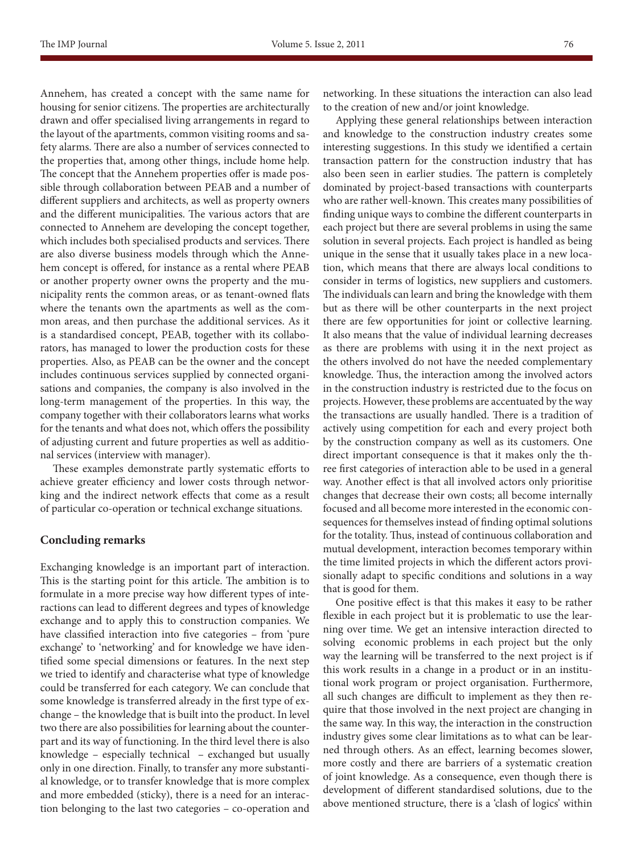Annehem, has created a concept with the same name for housing for senior citizens. The properties are architecturally drawn and offer specialised living arrangements in regard to the layout of the apartments, common visiting rooms and safety alarms. There are also a number of services connected to the properties that, among other things, include home help. The concept that the Annehem properties offer is made possible through collaboration between PEAB and a number of different suppliers and architects, as well as property owners and the different municipalities. The various actors that are connected to Annehem are developing the concept together, which includes both specialised products and services. There are also diverse business models through which the Annehem concept is offered, for instance as a rental where PEAB or another property owner owns the property and the municipality rents the common areas, or as tenant-owned flats where the tenants own the apartments as well as the common areas, and then purchase the additional services. As it is a standardised concept, PEAB, together with its collaborators, has managed to lower the production costs for these properties. Also, as PEAB can be the owner and the concept includes continuous services supplied by connected organisations and companies, the company is also involved in the long-term management of the properties. In this way, the company together with their collaborators learns what works for the tenants and what does not, which offers the possibility of adjusting current and future properties as well as additional services (interview with manager).

These examples demonstrate partly systematic efforts to achieve greater efficiency and lower costs through networking and the indirect network effects that come as a result of particular co-operation or technical exchange situations.

#### **Concluding remarks**

Exchanging knowledge is an important part of interaction. This is the starting point for this article. The ambition is to formulate in a more precise way how different types of interactions can lead to different degrees and types of knowledge exchange and to apply this to construction companies. We have classified interaction into five categories – from 'pure exchange' to 'networking' and for knowledge we have identified some special dimensions or features. In the next step we tried to identify and characterise what type of knowledge could be transferred for each category. We can conclude that some knowledge is transferred already in the first type of exchange – the knowledge that is built into the product. In level two there are also possibilities for learning about the counterpart and its way of functioning. In the third level there is also knowledge – especially technical – exchanged but usually only in one direction. Finally, to transfer any more substantial knowledge, or to transfer knowledge that is more complex and more embedded (sticky), there is a need for an interaction belonging to the last two categories – co-operation and

networking. In these situations the interaction can also lead to the creation of new and/or joint knowledge.

Applying these general relationships between interaction and knowledge to the construction industry creates some interesting suggestions. In this study we identified a certain transaction pattern for the construction industry that has also been seen in earlier studies. The pattern is completely dominated by project-based transactions with counterparts who are rather well-known. This creates many possibilities of finding unique ways to combine the different counterparts in each project but there are several problems in using the same solution in several projects. Each project is handled as being unique in the sense that it usually takes place in a new location, which means that there are always local conditions to consider in terms of logistics, new suppliers and customers. The individuals can learn and bring the knowledge with them but as there will be other counterparts in the next project there are few opportunities for joint or collective learning. It also means that the value of individual learning decreases as there are problems with using it in the next project as the others involved do not have the needed complementary knowledge. Thus, the interaction among the involved actors in the construction industry is restricted due to the focus on projects. However, these problems are accentuated by the way the transactions are usually handled. There is a tradition of actively using competition for each and every project both by the construction company as well as its customers. One direct important consequence is that it makes only the three first categories of interaction able to be used in a general way. Another effect is that all involved actors only prioritise changes that decrease their own costs; all become internally focused and all become more interested in the economic consequences for themselves instead of finding optimal solutions for the totality. Thus, instead of continuous collaboration and mutual development, interaction becomes temporary within the time limited projects in which the different actors provisionally adapt to specific conditions and solutions in a way that is good for them.

One positive effect is that this makes it easy to be rather flexible in each project but it is problematic to use the learning over time. We get an intensive interaction directed to solving economic problems in each project but the only way the learning will be transferred to the next project is if this work results in a change in a product or in an institutional work program or project organisation. Furthermore, all such changes are difficult to implement as they then require that those involved in the next project are changing in the same way. In this way, the interaction in the construction industry gives some clear limitations as to what can be learned through others. As an effect, learning becomes slower, more costly and there are barriers of a systematic creation of joint knowledge. As a consequence, even though there is development of different standardised solutions, due to the above mentioned structure, there is a 'clash of logics' within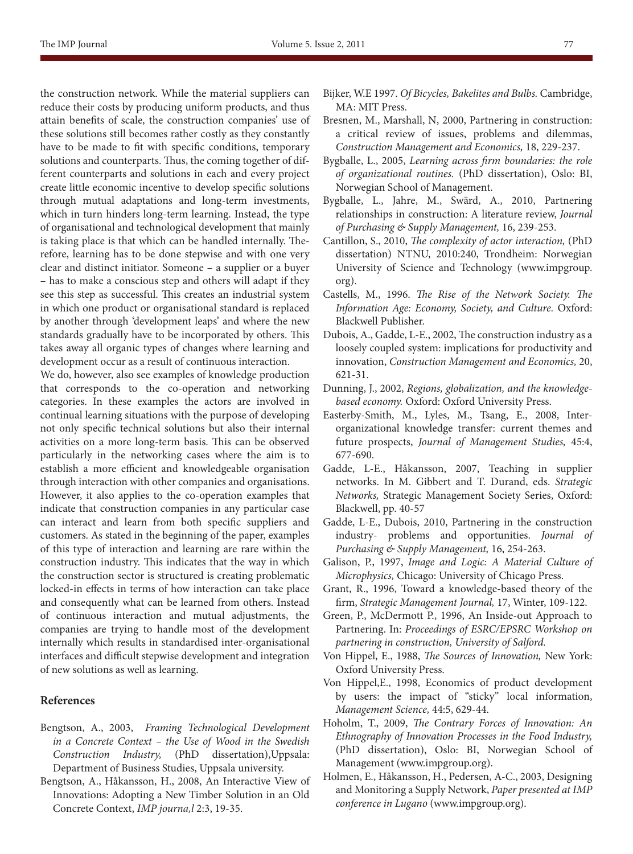the construction network. While the material suppliers can reduce their costs by producing uniform products, and thus attain benefits of scale, the construction companies' use of these solutions still becomes rather costly as they constantly have to be made to fit with specific conditions, temporary solutions and counterparts. Thus, the coming together of different counterparts and solutions in each and every project create little economic incentive to develop specific solutions through mutual adaptations and long-term investments, which in turn hinders long-term learning. Instead, the type of organisational and technological development that mainly is taking place is that which can be handled internally. Therefore, learning has to be done stepwise and with one very clear and distinct initiator. Someone – a supplier or a buyer – has to make a conscious step and others will adapt if they see this step as successful. This creates an industrial system in which one product or organisational standard is replaced by another through 'development leaps' and where the new standards gradually have to be incorporated by others. This takes away all organic types of changes where learning and development occur as a result of continuous interaction.

We do, however, also see examples of knowledge production that corresponds to the co-operation and networking categories. In these examples the actors are involved in continual learning situations with the purpose of developing not only specific technical solutions but also their internal activities on a more long-term basis. This can be observed particularly in the networking cases where the aim is to establish a more efficient and knowledgeable organisation through interaction with other companies and organisations. However, it also applies to the co-operation examples that indicate that construction companies in any particular case can interact and learn from both specific suppliers and customers. As stated in the beginning of the paper, examples of this type of interaction and learning are rare within the construction industry. This indicates that the way in which the construction sector is structured is creating problematic locked-in effects in terms of how interaction can take place and consequently what can be learned from others. Instead of continuous interaction and mutual adjustments, the companies are trying to handle most of the development internally which results in standardised inter-organisational interfaces and difficult stepwise development and integration of new solutions as well as learning.

#### **References**

- Bengtson, A., 2003, *Framing Technological Development in a Concrete Context – the Use of Wood in the Swedish Construction Industry,* (PhD dissertation),Uppsala: Department of Business Studies, Uppsala university.
- Bengtson, A., Håkansson, H., 2008, An Interactive View of Innovations: Adopting a New Timber Solution in an Old Concrete Context, *IMP journa,l* 2:3, 19-35.
- Bijker, W.E 1997. *Of Bicycles, Bakelites and Bulbs.* Cambridge, MA: MIT Press.
- Bresnen, M., Marshall, N, 2000, Partnering in construction: a critical review of issues, problems and dilemmas, *Construction Management and Economics,* 18, 229-237.
- Bygballe, L., 2005, *Learning across firm boundaries: the role of organizational routines.* (PhD dissertation), Oslo: BI, Norwegian School of Management.
- Bygballe, L., Jahre, M., Swärd, A., 2010, Partnering relationships in construction: A literature review, *Journal of Purchasing & Supply Management,* 16, 239-253.
- Cantillon, S., 2010, *The complexity of actor interaction,* (PhD dissertation) NTNU, 2010:240, Trondheim: Norwegian University of Science and Technology (www.impgroup. org).
- Castells, M., 1996. *The Rise of the Network Society. The Information Age: Economy, Society, and Culture.* Oxford: Blackwell Publisher.
- Dubois, A., Gadde, L-E., 2002, The construction industry as a loosely coupled system: implications for productivity and innovation, *Construction Management and Economics,* 20, 621-31.
- Dunning, J., 2002, *Regions, globalization, and the knowledgebased economy.* Oxford: Oxford University Press.
- Easterby-Smith, M., Lyles, M., Tsang, E., 2008, Interorganizational knowledge transfer: current themes and future prospects, *Journal of Management Studies,* 45:4, 677-690.
- Gadde, L-E., Håkansson, 2007, Teaching in supplier networks. In M. Gibbert and T. Durand, eds. *Strategic Networks,* Strategic Management Society Series, Oxford: Blackwell, pp. 40-57
- Gadde, L-E., Dubois, 2010, Partnering in the construction industry- problems and opportunities. *Journal of Purchasing & Supply Management,* 16, 254-263.
- Galison, P., 1997, *Image and Logic: A Material Culture of Microphysics,* Chicago: University of Chicago Press.
- Grant, R., 1996, Toward a knowledge-based theory of the firm, *Strategic Management Journal,* 17, Winter, 109-122.
- Green, P., McDermott P., 1996, An Inside-out Approach to Partnering. In: *Proceedings of ESRC/EPSRC Workshop on partnering in construction, University of Salford.*
- Von Hippel, E., 1988, *The Sources of Innovation,* New York: Oxford University Press.
- Von Hippel,E., 1998, Economics of product development by users: the impact of "sticky" local information, *Management Science,* 44:5, 629-44.
- Hoholm, T., 2009, *The Contrary Forces of Innovation: An Ethnography of Innovation Processes in the Food Industry,* (PhD dissertation), Oslo: BI, Norwegian School of Management (www.impgroup.org).
- Holmen, E., Håkansson, H., Pedersen, A-C., 2003, Designing and Monitoring a Supply Network, *Paper presented at IMP conference in Lugano* (www.impgroup.org).